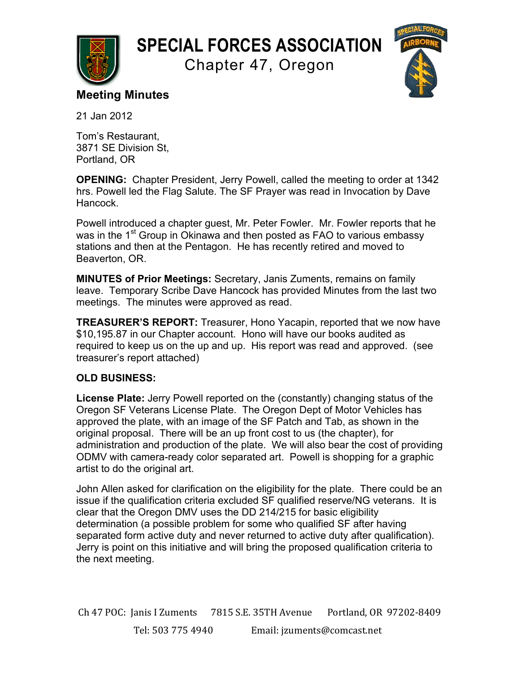

## **SPECIAL FORCES ASSOCIATION**

Chapter 47, Oregon



## **Meeting Minutes**

21 Jan 2012

Tom's Restaurant, 3871 SE Division St, Portland, OR

**OPENING:** Chapter President, Jerry Powell, called the meeting to order at 1342 hrs. Powell led the Flag Salute. The SF Prayer was read in Invocation by Dave Hancock.

Powell introduced a chapter guest, Mr. Peter Fowler. Mr. Fowler reports that he was in the 1<sup>st</sup> Group in Okinawa and then posted as FAO to various embassy stations and then at the Pentagon. He has recently retired and moved to Beaverton, OR.

**MINUTES of Prior Meetings:** Secretary, Janis Zuments, remains on family leave. Temporary Scribe Dave Hancock has provided Minutes from the last two meetings. The minutes were approved as read.

**TREASURER'S REPORT:** Treasurer, Hono Yacapin, reported that we now have \$10,195.87 in our Chapter account. Hono will have our books audited as required to keep us on the up and up. His report was read and approved. (see treasurer's report attached)

## **OLD BUSINESS:**

**License Plate:** Jerry Powell reported on the (constantly) changing status of the Oregon SF Veterans License Plate. The Oregon Dept of Motor Vehicles has approved the plate, with an image of the SF Patch and Tab, as shown in the original proposal. There will be an up front cost to us (the chapter), for administration and production of the plate. We will also bear the cost of providing ODMV with camera-ready color separated art. Powell is shopping for a graphic artist to do the original art.

John Allen asked for clarification on the eligibility for the plate. There could be an issue if the qualification criteria excluded SF qualified reserve/NG veterans. It is clear that the Oregon DMV uses the DD 214/215 for basic eligibility determination (a possible problem for some who qualified SF after having separated form active duty and never returned to active duty after qualification). Jerry is point on this initiative and will bring the proposed qualification criteria to the next meeting.

Ch 47 POC: Janis I Zuments 7815 S.E. 35TH Avenue Portland, OR 97202-8409 Tel: 503 775 4940 Email: jzuments@comcast.net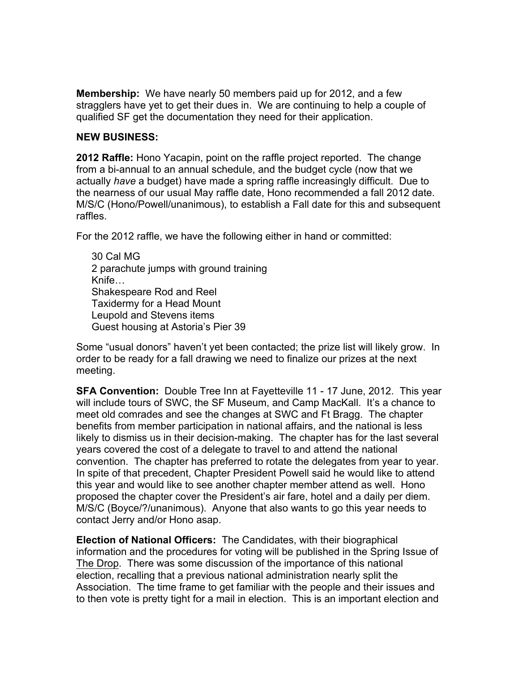**Membership:** We have nearly 50 members paid up for 2012, and a few stragglers have yet to get their dues in. We are continuing to help a couple of qualified SF get the documentation they need for their application.

## **NEW BUSINESS:**

**2012 Raffle:** Hono Yacapin, point on the raffle project reported. The change from a bi-annual to an annual schedule, and the budget cycle (now that we actually *have* a budget) have made a spring raffle increasingly difficult. Due to the nearness of our usual May raffle date, Hono recommended a fall 2012 date. M/S/C (Hono/Powell/unanimous), to establish a Fall date for this and subsequent raffles.

For the 2012 raffle, we have the following either in hand or committed:

30 Cal MG 2 parachute jumps with ground training Knife… Shakespeare Rod and Reel Taxidermy for a Head Mount Leupold and Stevens items Guest housing at Astoria's Pier 39

Some "usual donors" haven't yet been contacted; the prize list will likely grow. In order to be ready for a fall drawing we need to finalize our prizes at the next meeting.

**SFA Convention:** Double Tree Inn at Fayetteville 11 - 17 June, 2012. This year will include tours of SWC, the SF Museum, and Camp MacKall. It's a chance to meet old comrades and see the changes at SWC and Ft Bragg. The chapter benefits from member participation in national affairs, and the national is less likely to dismiss us in their decision-making. The chapter has for the last several years covered the cost of a delegate to travel to and attend the national convention. The chapter has preferred to rotate the delegates from year to year. In spite of that precedent, Chapter President Powell said he would like to attend this year and would like to see another chapter member attend as well. Hono proposed the chapter cover the President's air fare, hotel and a daily per diem. M/S/C (Boyce/?/unanimous). Anyone that also wants to go this year needs to contact Jerry and/or Hono asap.

**Election of National Officers:** The Candidates, with their biographical information and the procedures for voting will be published in the Spring Issue of The Drop. There was some discussion of the importance of this national election, recalling that a previous national administration nearly split the Association. The time frame to get familiar with the people and their issues and to then vote is pretty tight for a mail in election. This is an important election and